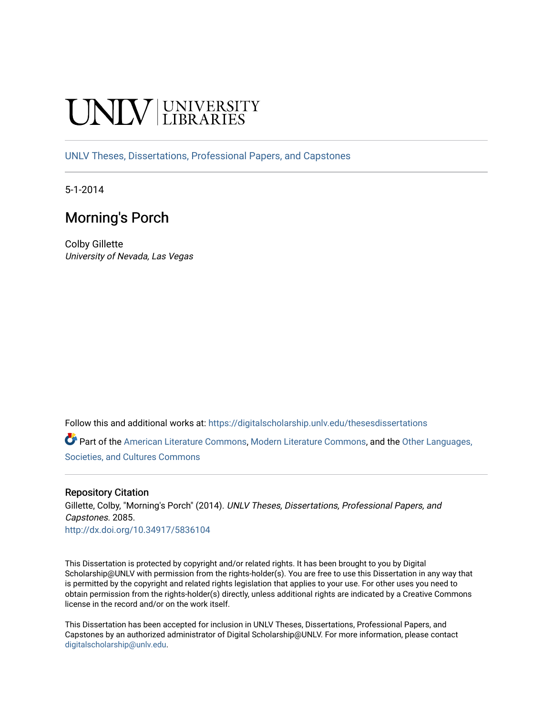# **INIVERSITY**

[UNLV Theses, Dissertations, Professional Papers, and Capstones](https://digitalscholarship.unlv.edu/thesesdissertations)

5-1-2014

# Morning's Porch

Colby Gillette University of Nevada, Las Vegas

Follow this and additional works at: [https://digitalscholarship.unlv.edu/thesesdissertations](https://digitalscholarship.unlv.edu/thesesdissertations?utm_source=digitalscholarship.unlv.edu%2Fthesesdissertations%2F2085&utm_medium=PDF&utm_campaign=PDFCoverPages)

Part of the [American Literature Commons](http://network.bepress.com/hgg/discipline/441?utm_source=digitalscholarship.unlv.edu%2Fthesesdissertations%2F2085&utm_medium=PDF&utm_campaign=PDFCoverPages), [Modern Literature Commons](http://network.bepress.com/hgg/discipline/1050?utm_source=digitalscholarship.unlv.edu%2Fthesesdissertations%2F2085&utm_medium=PDF&utm_campaign=PDFCoverPages), and the [Other Languages,](http://network.bepress.com/hgg/discipline/475?utm_source=digitalscholarship.unlv.edu%2Fthesesdissertations%2F2085&utm_medium=PDF&utm_campaign=PDFCoverPages) [Societies, and Cultures Commons](http://network.bepress.com/hgg/discipline/475?utm_source=digitalscholarship.unlv.edu%2Fthesesdissertations%2F2085&utm_medium=PDF&utm_campaign=PDFCoverPages) 

#### Repository Citation

Gillette, Colby, "Morning's Porch" (2014). UNLV Theses, Dissertations, Professional Papers, and Capstones. 2085. <http://dx.doi.org/10.34917/5836104>

This Dissertation is protected by copyright and/or related rights. It has been brought to you by Digital Scholarship@UNLV with permission from the rights-holder(s). You are free to use this Dissertation in any way that is permitted by the copyright and related rights legislation that applies to your use. For other uses you need to obtain permission from the rights-holder(s) directly, unless additional rights are indicated by a Creative Commons license in the record and/or on the work itself.

This Dissertation has been accepted for inclusion in UNLV Theses, Dissertations, Professional Papers, and Capstones by an authorized administrator of Digital Scholarship@UNLV. For more information, please contact [digitalscholarship@unlv.edu](mailto:digitalscholarship@unlv.edu).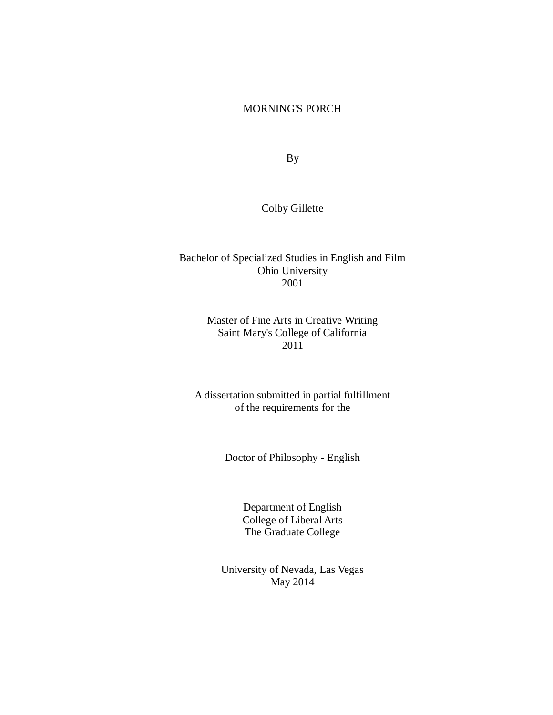#### MORNING'S PORCH

By

Colby Gillette

## Bachelor of Specialized Studies in English and Film Ohio University 2001

## Master of Fine Arts in Creative Writing Saint Mary's College of California 2011

A dissertation submitted in partial fulfillment of the requirements for the

Doctor of Philosophy - English

Department of English College of Liberal Arts The Graduate College

University of Nevada, Las Vegas May 2014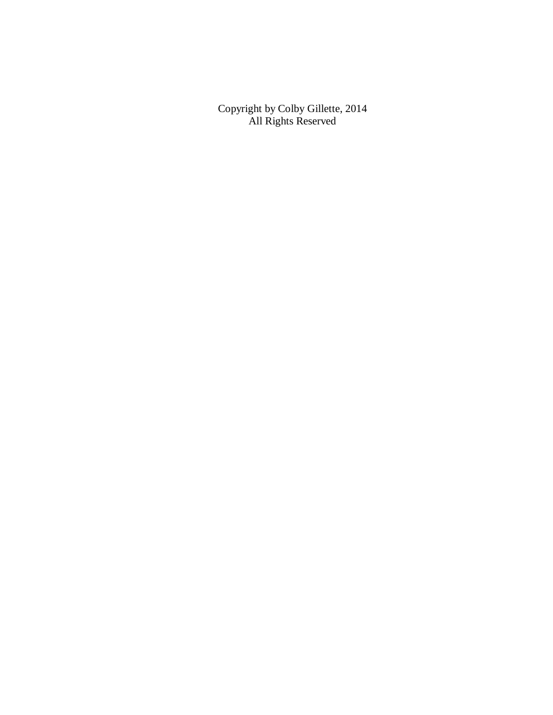Copyright by Colby Gillette, 2014 All Rights Reserved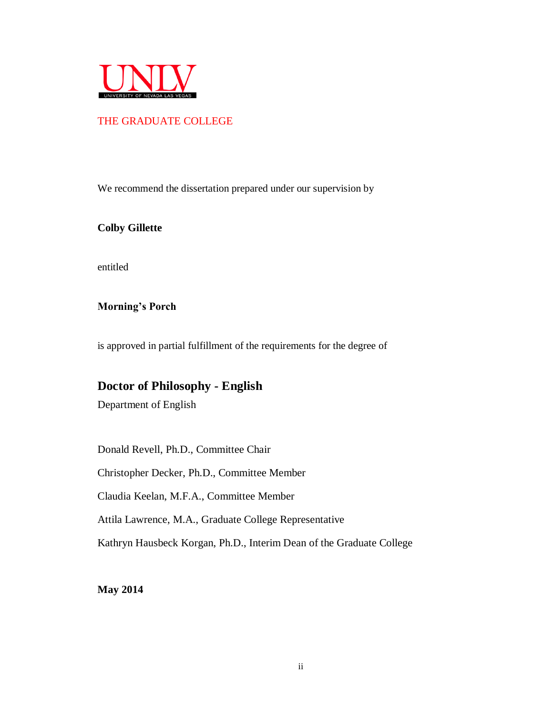

#### THE GRADUATE COLLEGE

We recommend the dissertation prepared under our supervision by

**Colby Gillette**

entitled

**Morning's Porch**

is approved in partial fulfillment of the requirements for the degree of

## **Doctor of Philosophy - English**

Department of English

Donald Revell, Ph.D., Committee Chair

Christopher Decker, Ph.D., Committee Member

Claudia Keelan, M.F.A., Committee Member

Attila Lawrence, M.A., Graduate College Representative

Kathryn Hausbeck Korgan, Ph.D., Interim Dean of the Graduate College

**May 2014**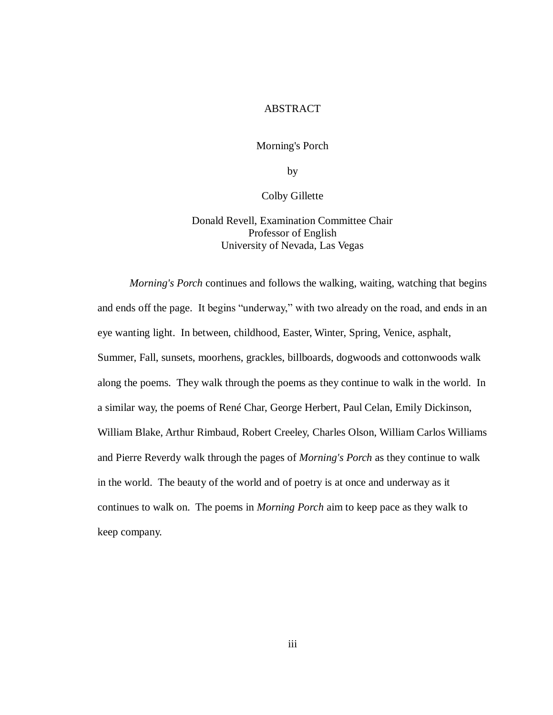#### ABSTRACT

Morning's Porch

by

Colby Gillette

Donald Revell, Examination Committee Chair Professor of English University of Nevada, Las Vegas

*Morning's Porch* continues and follows the walking, waiting, watching that begins and ends off the page. It begins "underway," with two already on the road, and ends in an eye wanting light. In between, childhood, Easter, Winter, Spring, Venice, asphalt, Summer, Fall, sunsets, moorhens, grackles, billboards, dogwoods and cottonwoods walk along the poems. They walk through the poems as they continue to walk in the world. In a similar way, the poems of René Char, George Herbert, Paul Celan, Emily Dickinson, William Blake, Arthur Rimbaud, Robert Creeley, Charles Olson, William Carlos Williams and Pierre Reverdy walk through the pages of *Morning's Porch* as they continue to walk in the world. The beauty of the world and of poetry is at once and underway as it continues to walk on. The poems in *Morning Porch* aim to keep pace as they walk to keep company.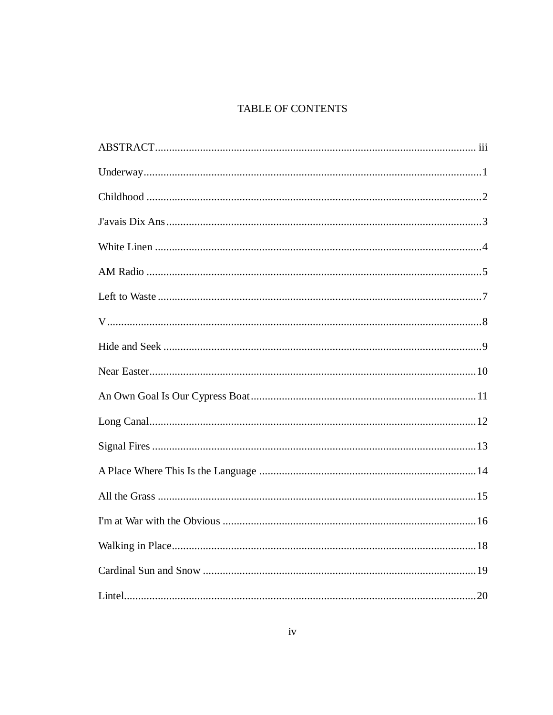## TABLE OF CONTENTS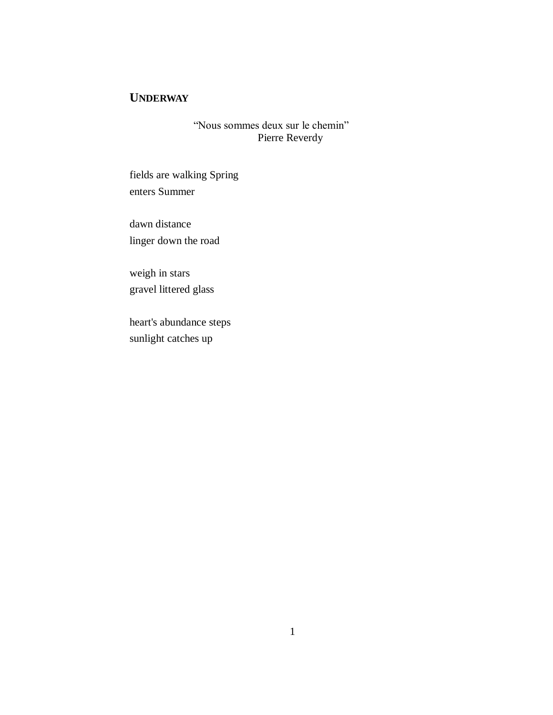# **UNDERWAY**

"Nous sommes deux sur le chemin" Pierre Reverdy

fields are walking Spring enters Summer

dawn distance linger down the road

weigh in stars gravel littered glass

heart's abundance steps sunlight catches up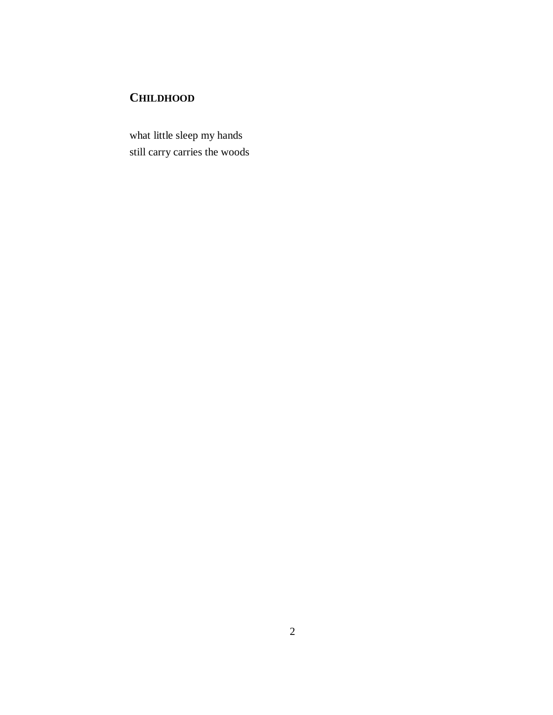# **CHILDHOOD**

what little sleep my hands still carry carries the woods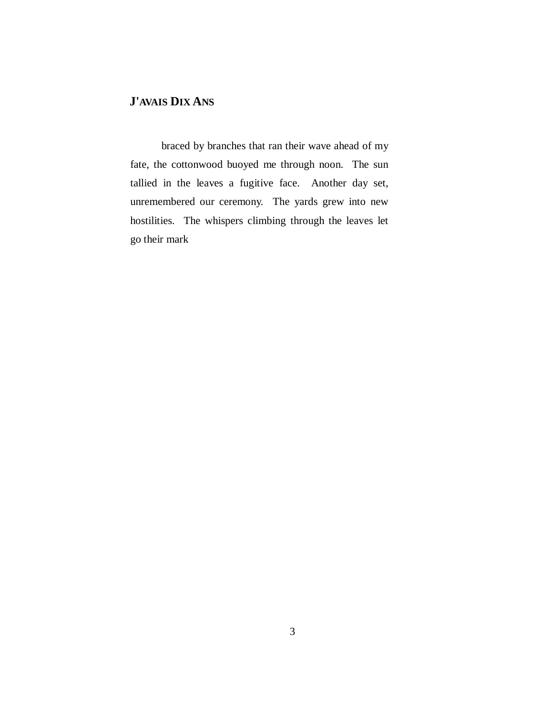# **J'AVAIS DIX ANS**

braced by branches that ran their wave ahead of my fate, the cottonwood buoyed me through noon. The sun tallied in the leaves a fugitive face. Another day set, unremembered our ceremony. The yards grew into new hostilities. The whispers climbing through the leaves let go their mark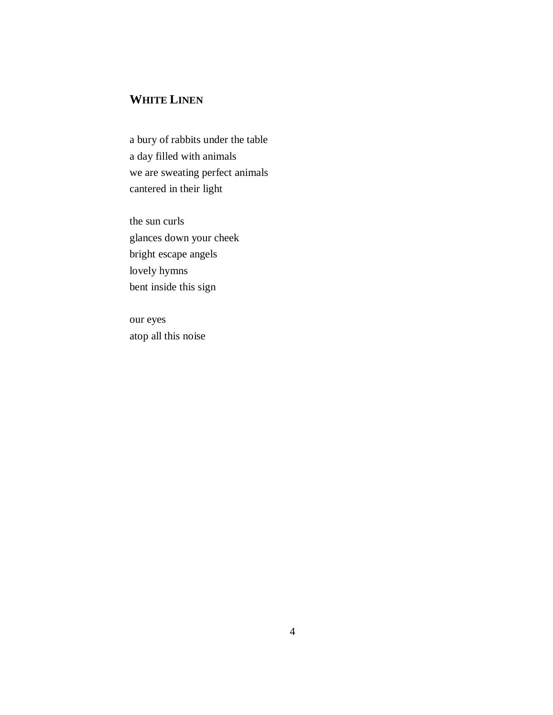# **WHITE LINEN**

a bury of rabbits under the table a day filled with animals we are sweating perfect animals cantered in their light

the sun curls glances down your cheek bright escape angels lovely hymns bent inside this sign

our eyes atop all this noise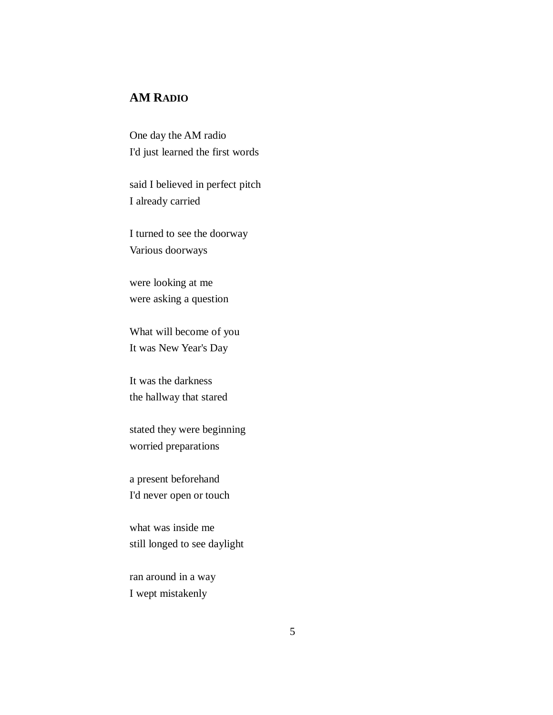## **AM RADIO**

One day the AM radio I'd just learned the first words

said I believed in perfect pitch I already carried

I turned to see the doorway Various doorways

were looking at me were asking a question

What will become of you It was New Year's Day

It was the darkness the hallway that stared

stated they were beginning worried preparations

a present beforehand I'd never open or touch

what was inside me still longed to see daylight

ran around in a way I wept mistakenly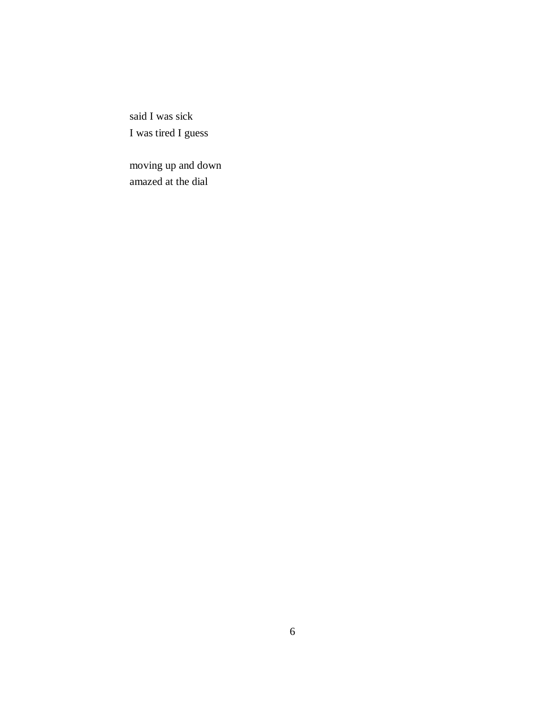said I was sick I was tired I guess

moving up and down amazed at the dial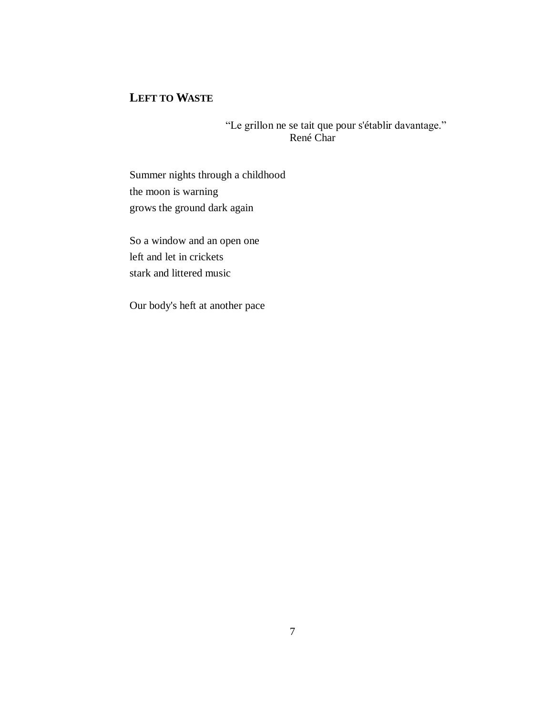# **LEFT TO WASTE**

"Le grillon ne se tait que pour s'établir davantage." René Char

Summer nights through a childhood the moon is warning grows the ground dark again

So a window and an open one left and let in crickets stark and littered music

Our body's heft at another pace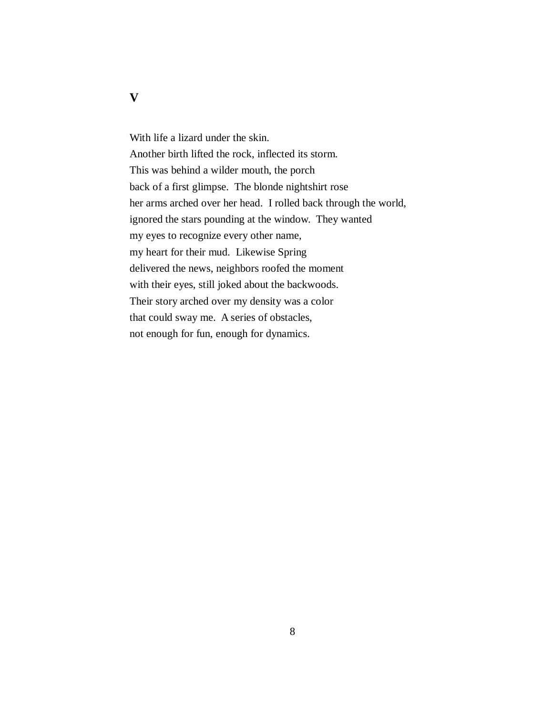With life a lizard under the skin. Another birth lifted the rock, inflected its storm. This was behind a wilder mouth, the porch back of a first glimpse. The blonde nightshirt rose her arms arched over her head. I rolled back through the world, ignored the stars pounding at the window. They wanted my eyes to recognize every other name, my heart for their mud. Likewise Spring delivered the news, neighbors roofed the moment with their eyes, still joked about the backwoods. Their story arched over my density was a color that could sway me. A series of obstacles, not enough for fun, enough for dynamics.

#### **V**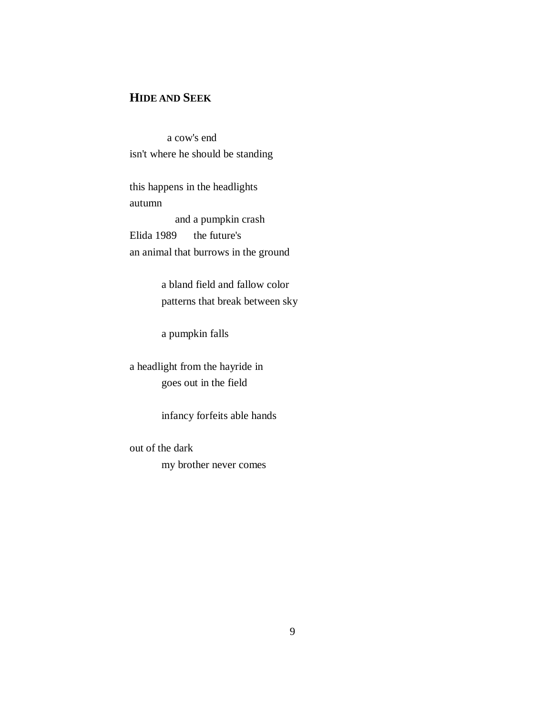## **HIDE AND SEEK**

 a cow's end isn't where he should be standing

this happens in the headlights autumn and a pumpkin crash Elida 1989 the future's an animal that burrows in the ground

> a bland field and fallow color patterns that break between sky

a pumpkin falls

a headlight from the hayride in goes out in the field

infancy forfeits able hands

out of the dark my brother never comes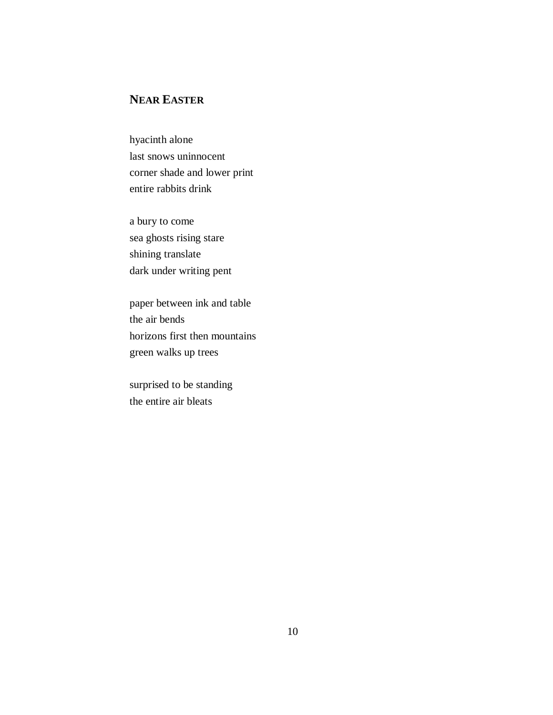# **NEAR EASTER**

hyacinth alone last snows uninnocent corner shade and lower print entire rabbits drink

a bury to come sea ghosts rising stare shining translate dark under writing pent

paper between ink and table the air bends horizons first then mountains green walks up trees

surprised to be standing the entire air bleats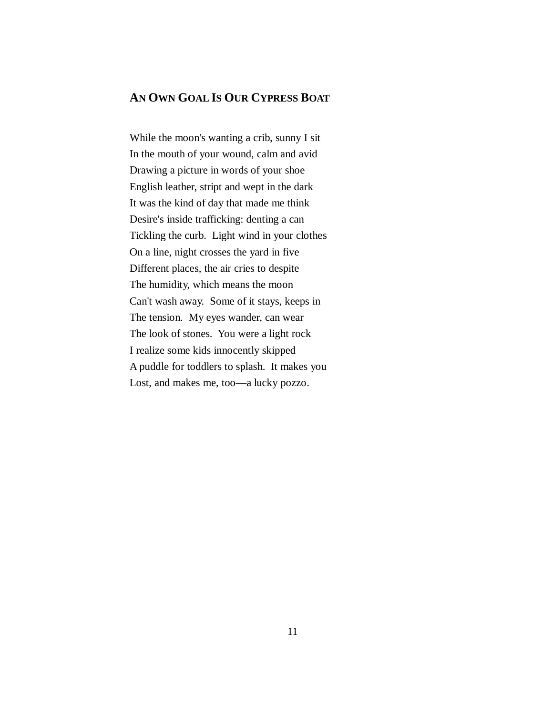#### **AN OWN GOAL IS OUR CYPRESS BOAT**

While the moon's wanting a crib, sunny I sit In the mouth of your wound, calm and avid Drawing a picture in words of your shoe English leather, stript and wept in the dark It was the kind of day that made me think Desire's inside trafficking: denting a can Tickling the curb. Light wind in your clothes On a line, night crosses the yard in five Different places, the air cries to despite The humidity, which means the moon Can't wash away. Some of it stays, keeps in The tension. My eyes wander, can wear The look of stones. You were a light rock I realize some kids innocently skipped A puddle for toddlers to splash. It makes you Lost, and makes me, too—a lucky pozzo.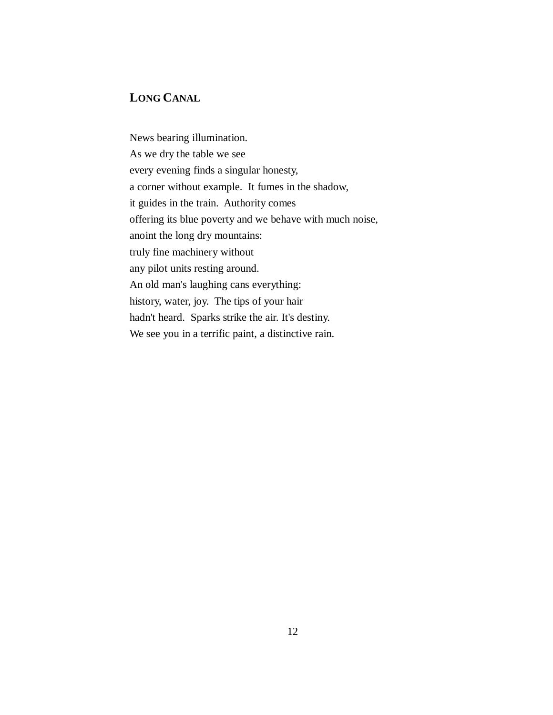## **LONG CANAL**

News bearing illumination. As we dry the table we see every evening finds a singular honesty, a corner without example. It fumes in the shadow, it guides in the train. Authority comes offering its blue poverty and we behave with much noise, anoint the long dry mountains: truly fine machinery without any pilot units resting around. An old man's laughing cans everything: history, water, joy. The tips of your hair hadn't heard. Sparks strike the air. It's destiny. We see you in a terrific paint, a distinctive rain.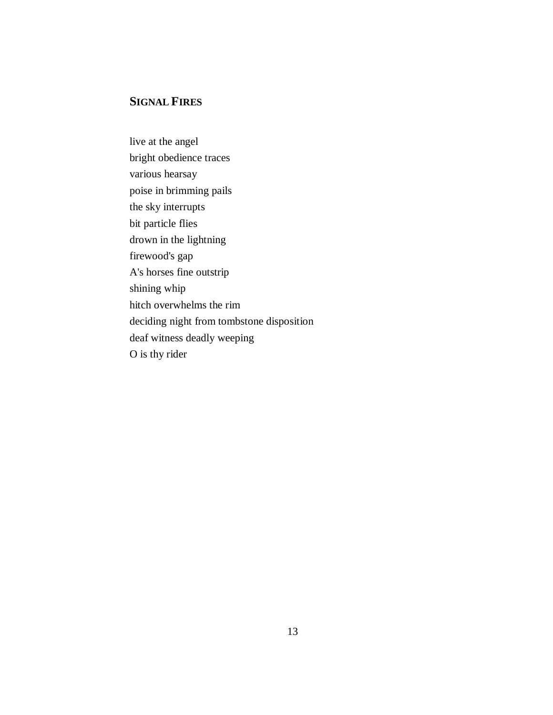## **SIGNAL FIRES**

live at the angel bright obedience traces various hearsay poise in brimming pails the sky interrupts bit particle flies drown in the lightning firewood's gap A's horses fine outstrip shining whip hitch overwhelms the rim deciding night from tombstone disposition deaf witness deadly weeping O is thy rider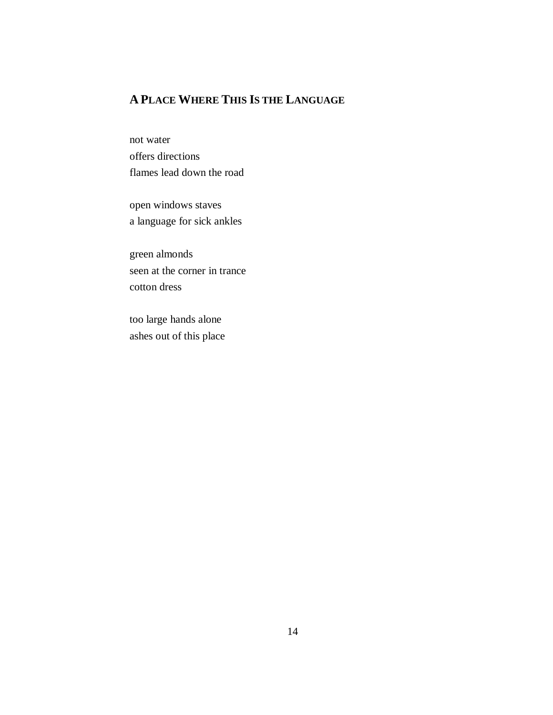# **A PLACE WHERE THIS IS THE LANGUAGE**

not water offers directions flames lead down the road

open windows staves a language for sick ankles

green almonds seen at the corner in trance cotton dress

too large hands alone ashes out of this place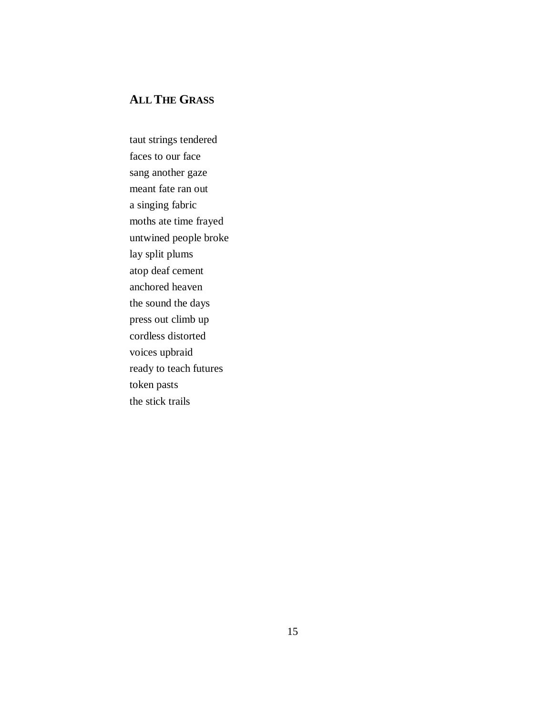## **ALL THE GRASS**

taut strings tendered faces to our face sang another gaze meant fate ran out a singing fabric moths ate time frayed untwined people broke lay split plums atop deaf cement anchored heaven the sound the days press out climb up cordless distorted voices upbraid ready to teach futures token pasts the stick trails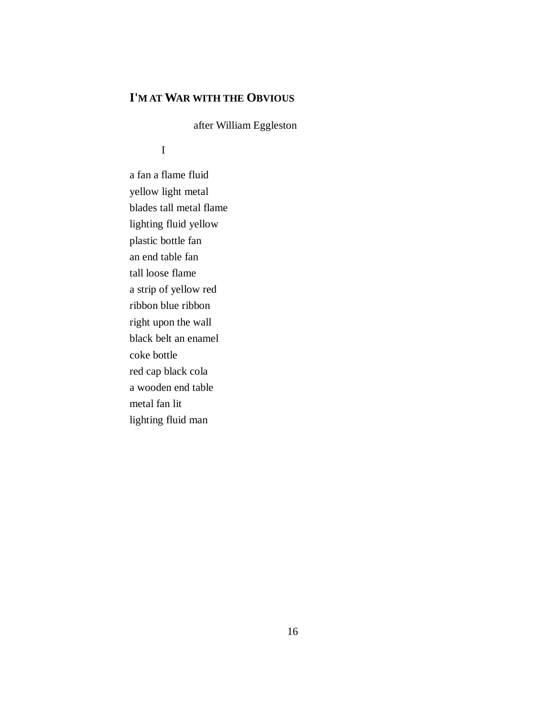# **I'M AT WAR WITH THE OBVIOUS**

after William Eggleston

## I

a fan a flame fluid yellow light metal blades tall metal flame lighting fluid yellow plastic bottle fan an end table fan tall loose flame a strip of yellow red ribbon blue ribbon right upon the wall black belt an enamel coke bottle red cap black cola a wooden end table metal fan lit lighting fluid man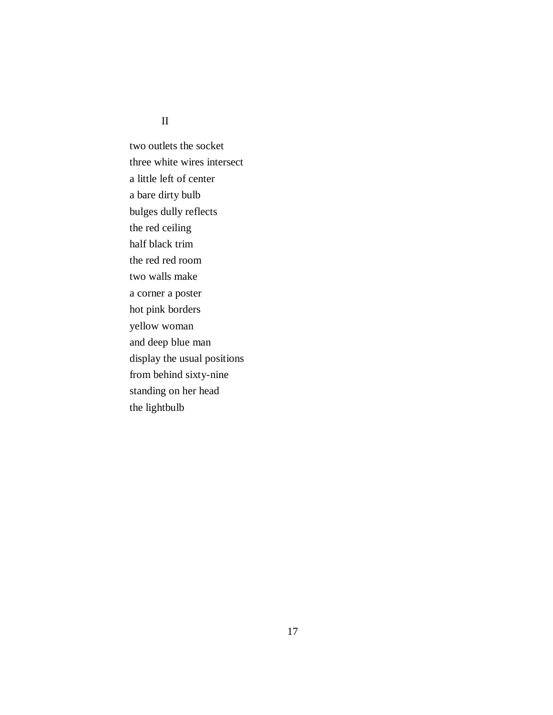#### II

two outlets the socket three white wires intersect a little left of center a bare dirty bulb bulges dully reflects the red ceiling half black trim the red red room two walls make a corner a poster hot pink borders yellow woman and deep blue man display the usual positions from behind sixty-nine standing on her head the lightbulb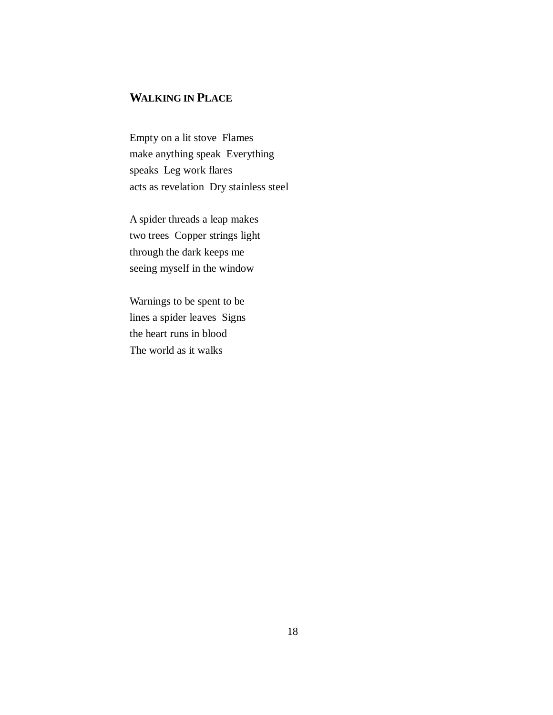## **WALKING IN PLACE**

Empty on a lit stove Flames make anything speak Everything speaks Leg work flares acts as revelation Dry stainless steel

A spider threads a leap makes two trees Copper strings light through the dark keeps me seeing myself in the window

Warnings to be spent to be lines a spider leaves Signs the heart runs in blood The world as it walks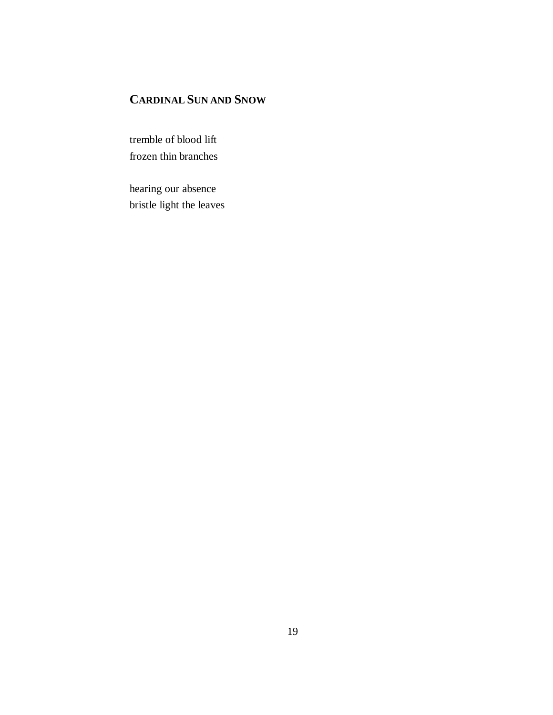# **CARDINAL SUN AND SNOW**

tremble of blood lift frozen thin branches

hearing our absence bristle light the leaves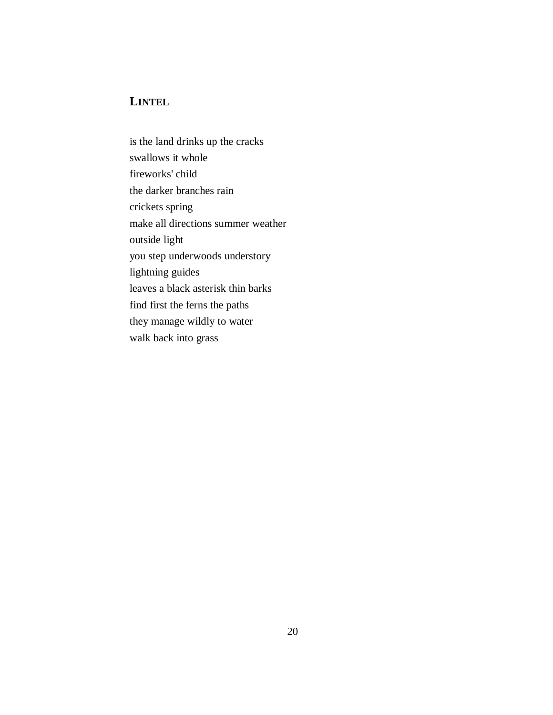# **LINTEL**

is the land drinks up the cracks swallows it whole fireworks' child the darker branches rain crickets spring make all directions summer weather outside light you step underwoods understory lightning guides leaves a black asterisk thin barks find first the ferns the paths they manage wildly to water walk back into grass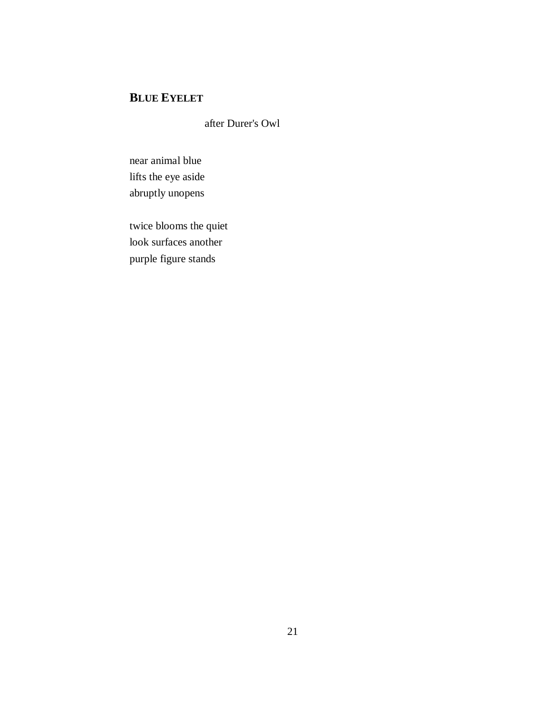# **BLUE EYELET**

after Durer's Owl

near animal blue lifts the eye aside abruptly unopens

twice blooms the quiet look surfaces another purple figure stands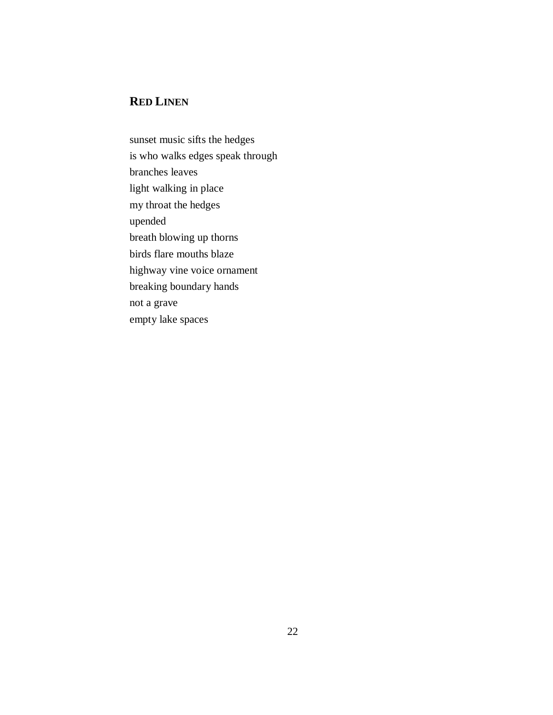# **RED LINEN**

sunset music sifts the hedges is who walks edges speak through branches leaves light walking in place my throat the hedges upended breath blowing up thorns birds flare mouths blaze highway vine voice ornament breaking boundary hands not a grave empty lake spaces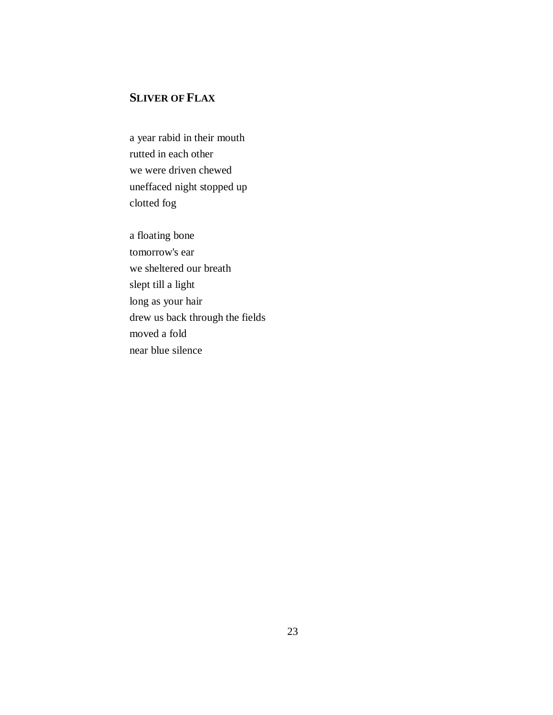# **SLIVER OF FLAX**

a year rabid in their mouth rutted in each other we were driven chewed uneffaced night stopped up clotted fog

a floating bone tomorrow's ear we sheltered our breath slept till a light long as your hair drew us back through the fields moved a fold near blue silence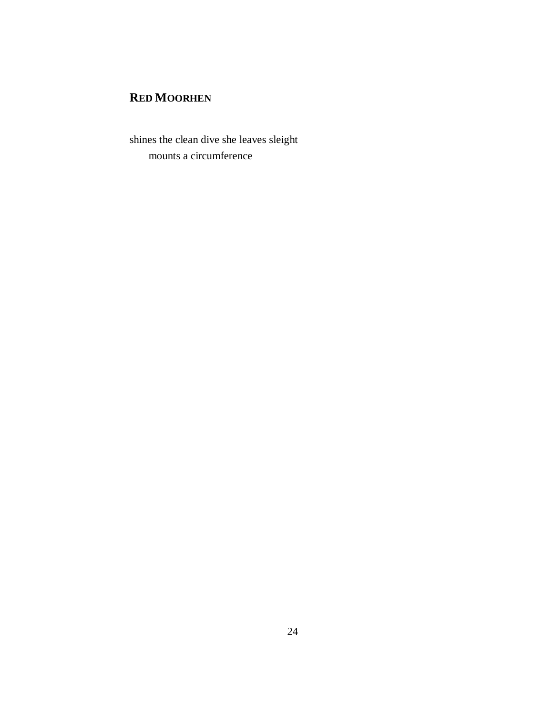# **RED MOORHEN**

shines the clean dive she leaves sleight mounts a circumference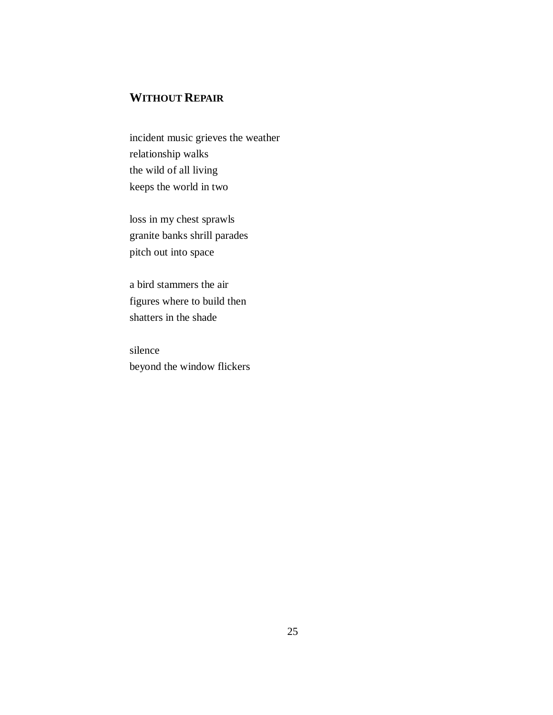# **WITHOUT REPAIR**

incident music grieves the weather relationship walks the wild of all living keeps the world in two

loss in my chest sprawls granite banks shrill parades pitch out into space

a bird stammers the air figures where to build then shatters in the shade

silence beyond the window flickers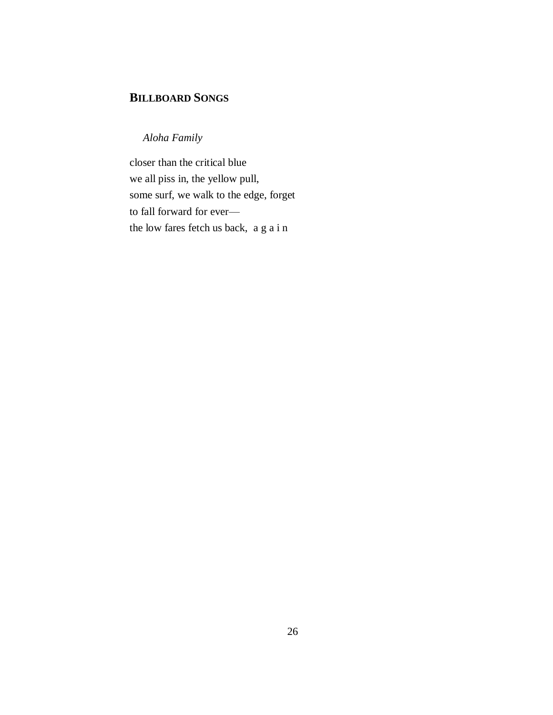## **BILLBOARD SONGS**

 *Aloha Family*

closer than the critical blue we all piss in, the yellow pull, some surf, we walk to the edge, forget to fall forward for ever the low fares fetch us back, a g a i n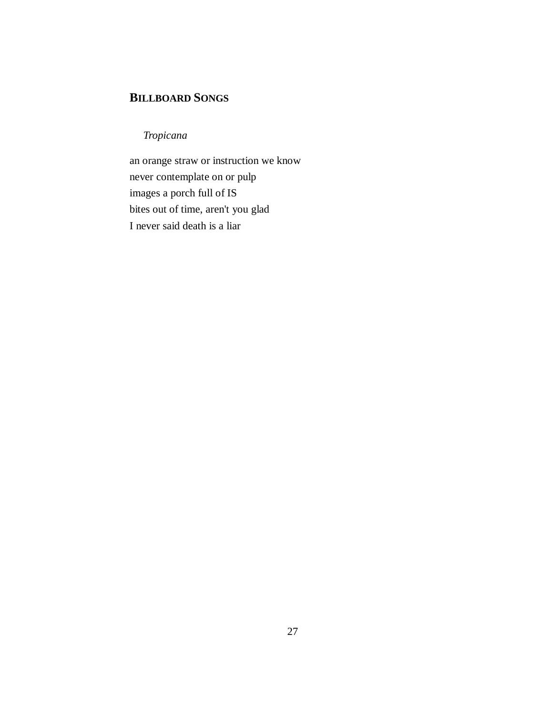## **BILLBOARD SONGS**

*Tropicana*

an orange straw or instruction we know never contemplate on or pulp images a porch full of IS bites out of time, aren't you glad I never said death is a liar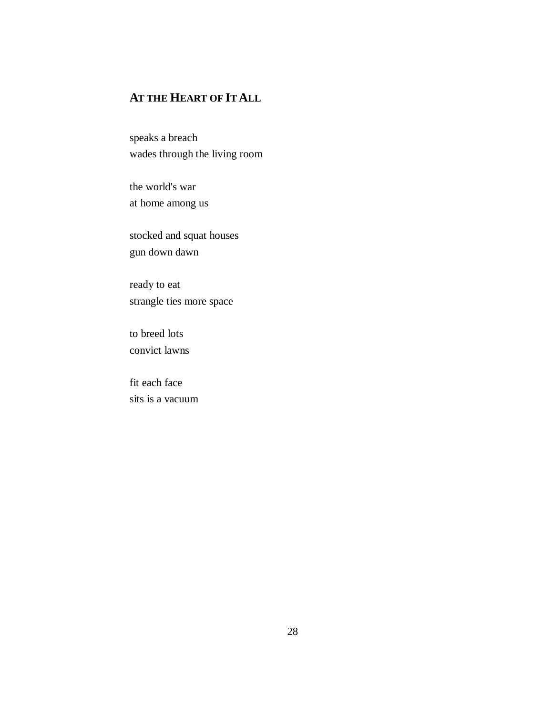# **AT THE HEART OF IT ALL**

speaks a breach wades through the living room

the world's war at home among us

stocked and squat houses gun down dawn

ready to eat strangle ties more space

to breed lots convict lawns

fit each face sits is a vacuum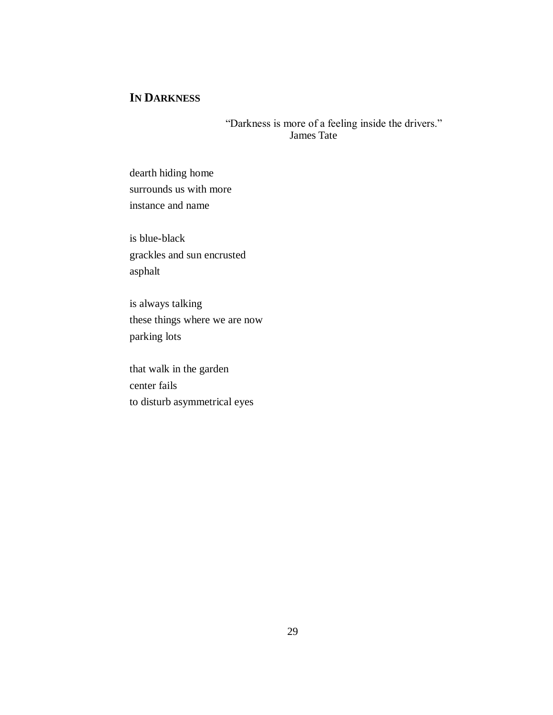## **IN DARKNESS**

"Darkness is more of a feeling inside the drivers." James Tate

dearth hiding home surrounds us with more instance and name

is blue-black grackles and sun encrusted asphalt

is always talking these things where we are now parking lots

that walk in the garden center fails to disturb asymmetrical eyes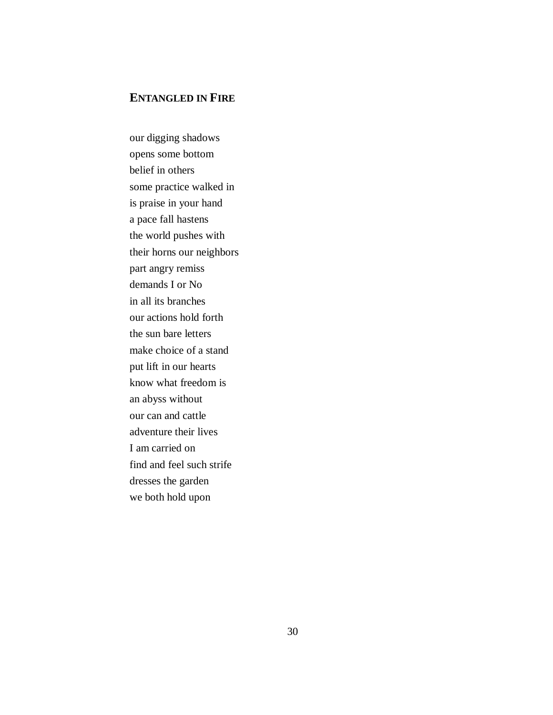## **ENTANGLED IN FIRE**

our digging shadows opens some bottom belief in others some practice walked in is praise in your hand a pace fall hastens the world pushes with their horns our neighbors part angry remiss demands I or No in all its branches our actions hold forth the sun bare letters make choice of a stand put lift in our hearts know what freedom is an abyss without our can and cattle adventure their lives I am carried on find and feel such strife dresses the garden we both hold upon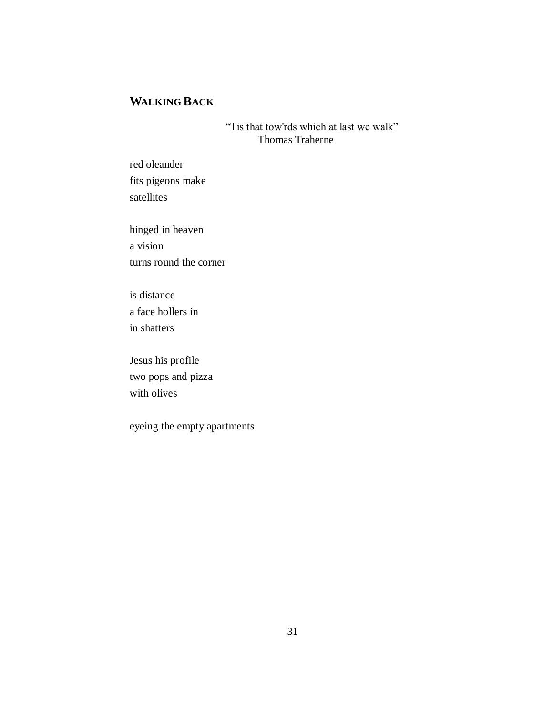# **WALKING BACK**

"Tis that tow'rds which at last we walk" Thomas Traherne

red oleander fits pigeons make satellites

hinged in heaven a vision turns round the corner

is distance a face hollers in in shatters

Jesus his profile two pops and pizza with olives

eyeing the empty apartments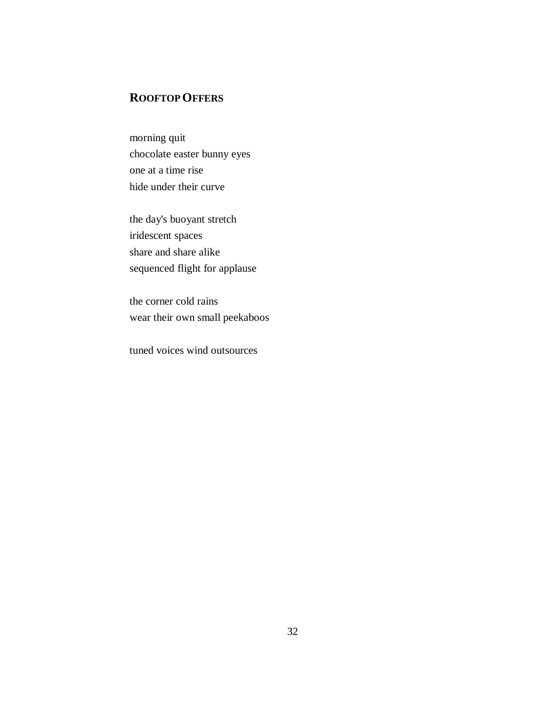## **ROOFTOP OFFERS**

morning quit chocolate easter bunny eyes one at a time rise hide under their curve

the day's buoyant stretch iridescent spaces share and share alike sequenced flight for applause

the corner cold rains wear their own small peekaboos

tuned voices wind outsources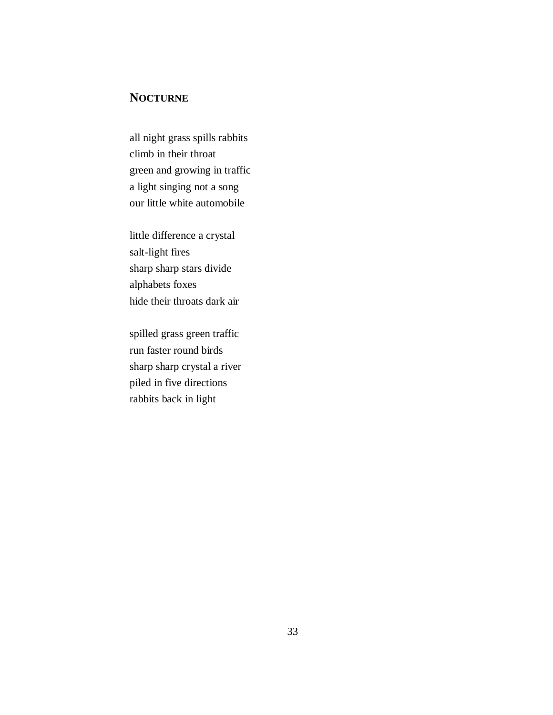## **NOCTURNE**

all night grass spills rabbits climb in their throat green and growing in traffic a light singing not a song our little white automobile

little difference a crystal salt-light fires sharp sharp stars divide alphabets foxes hide their throats dark air

spilled grass green traffic run faster round birds sharp sharp crystal a river piled in five directions rabbits back in light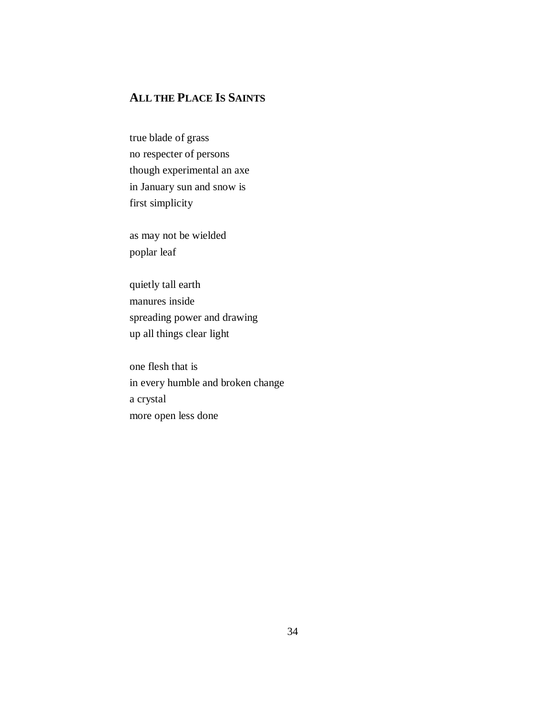# **ALL THE PLACE IS SAINTS**

true blade of grass no respecter of persons though experimental an axe in January sun and snow is first simplicity

as may not be wielded poplar leaf

quietly tall earth manures inside spreading power and drawing up all things clear light

one flesh that is in every humble and broken change a crystal more open less done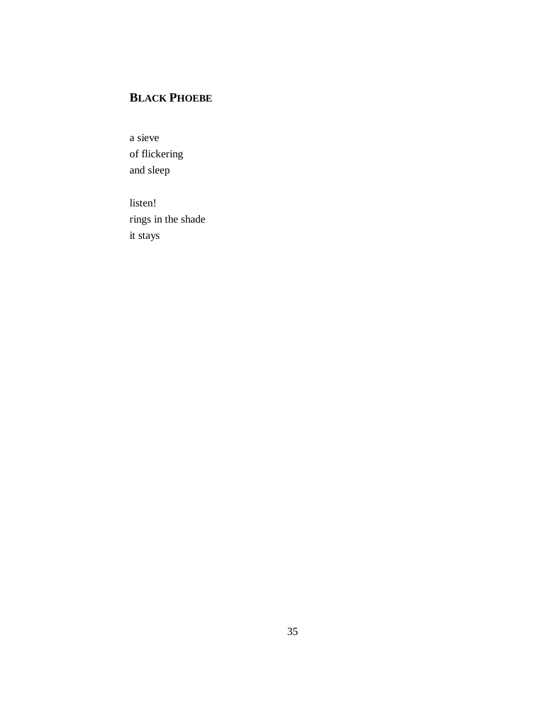# **BLACK PHOEBE**

a sieve of flickering and sleep

listen! rings in the shade it stays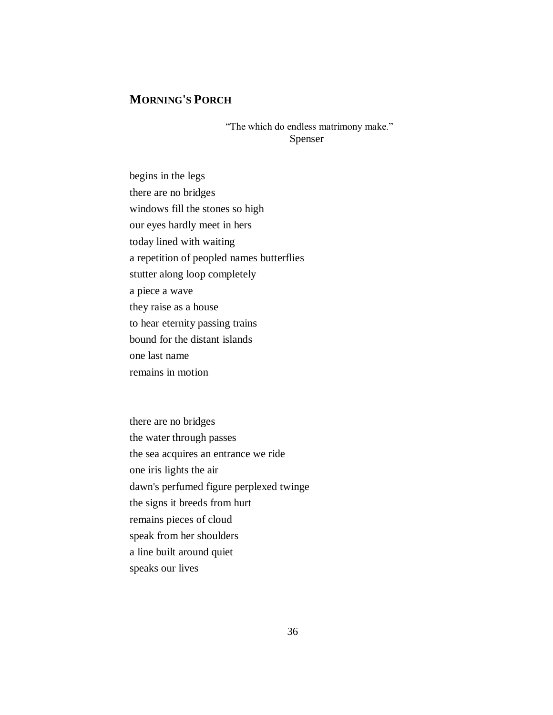## **MORNING'S PORCH**

"The which do endless matrimony make." Spenser

begins in the legs there are no bridges windows fill the stones so high our eyes hardly meet in hers today lined with waiting a repetition of peopled names butterflies stutter along loop completely a piece a wave they raise as a house to hear eternity passing trains bound for the distant islands one last name remains in motion

there are no bridges the water through passes the sea acquires an entrance we ride one iris lights the air dawn's perfumed figure perplexed twinge the signs it breeds from hurt remains pieces of cloud speak from her shoulders a line built around quiet speaks our lives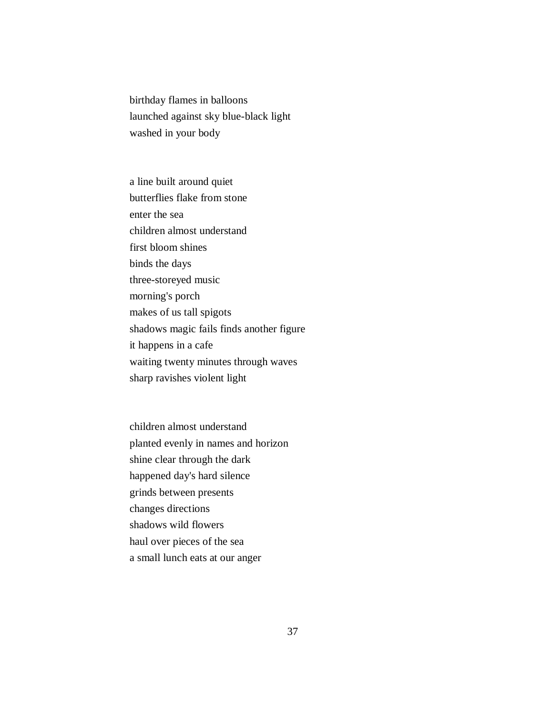birthday flames in balloons launched against sky blue-black light washed in your body

a line built around quiet butterflies flake from stone enter the sea children almost understand first bloom shines binds the days three-storeyed music morning's porch makes of us tall spigots shadows magic fails finds another figure it happens in a cafe waiting twenty minutes through waves sharp ravishes violent light

children almost understand planted evenly in names and horizon shine clear through the dark happened day's hard silence grinds between presents changes directions shadows wild flowers haul over pieces of the sea a small lunch eats at our anger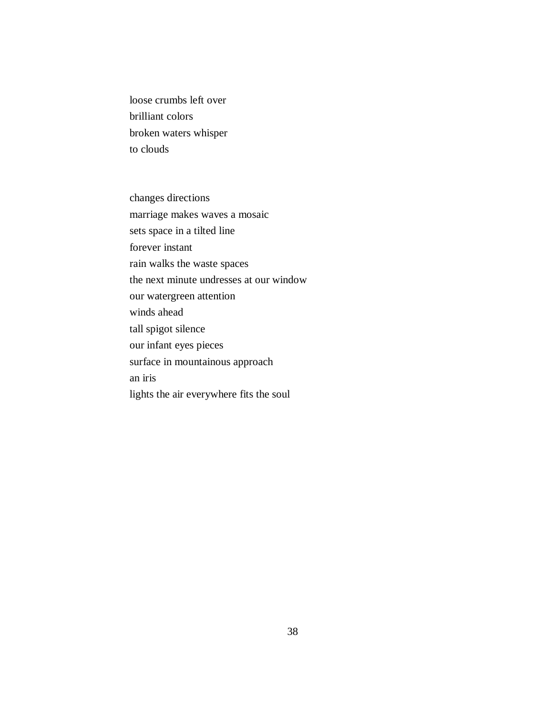loose crumbs left over brilliant colors broken waters whisper to clouds

changes directions marriage makes waves a mosaic sets space in a tilted line forever instant rain walks the waste spaces the next minute undresses at our window our watergreen attention winds ahead tall spigot silence our infant eyes pieces surface in mountainous approach an iris lights the air everywhere fits the soul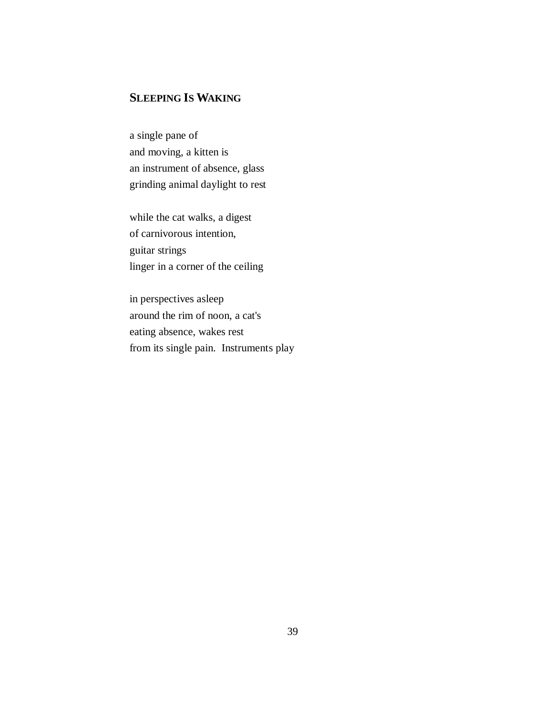## **SLEEPING IS WAKING**

a single pane of and moving, a kitten is an instrument of absence, glass grinding animal daylight to rest

while the cat walks, a digest of carnivorous intention, guitar strings linger in a corner of the ceiling

in perspectives asleep around the rim of noon, a cat's eating absence, wakes rest from its single pain. Instruments play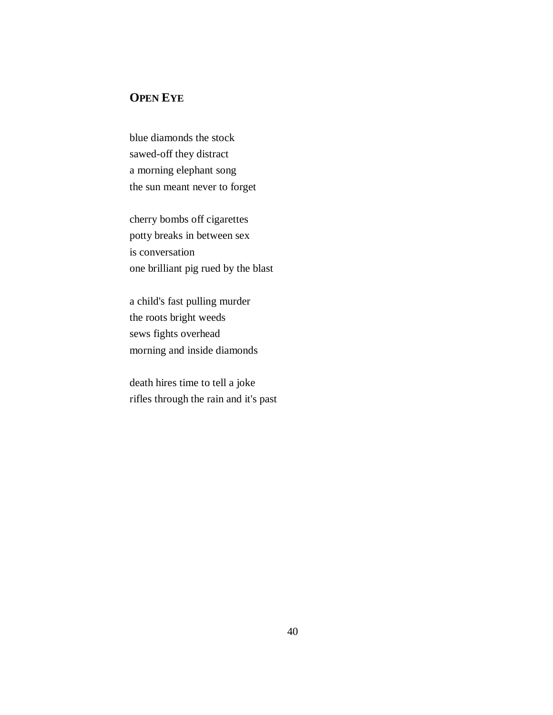# **OPEN EYE**

blue diamonds the stock sawed-off they distract a morning elephant song the sun meant never to forget

cherry bombs off cigarettes potty breaks in between sex is conversation one brilliant pig rued by the blast

a child's fast pulling murder the roots bright weeds sews fights overhead morning and inside diamonds

death hires time to tell a joke rifles through the rain and it's past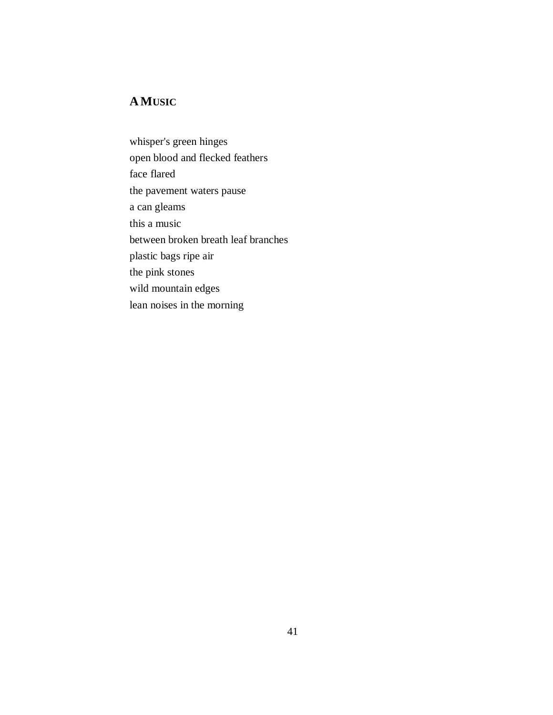# **AMUSIC**

whisper's green hinges open blood and flecked feathers face flared the pavement waters pause a can gleams this a music between broken breath leaf branches plastic bags ripe air the pink stones wild mountain edges lean noises in the morning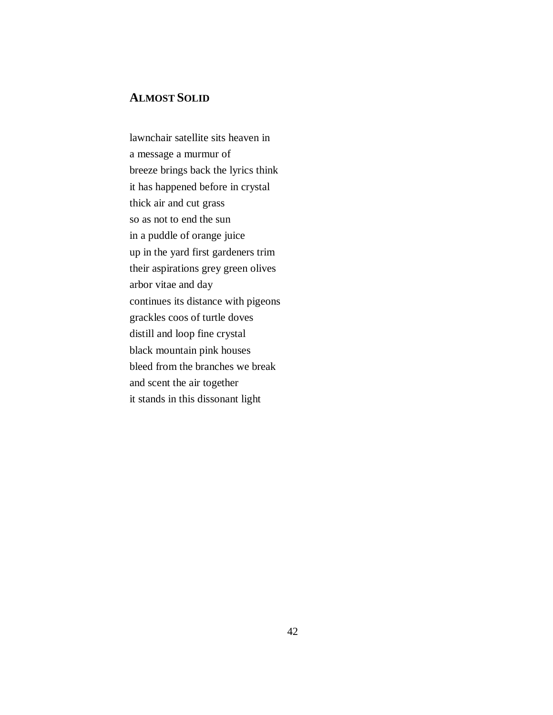## **ALMOST SOLID**

lawnchair satellite sits heaven in a message a murmur of breeze brings back the lyrics think it has happened before in crystal thick air and cut grass so as not to end the sun in a puddle of orange juice up in the yard first gardeners trim their aspirations grey green olives arbor vitae and day continues its distance with pigeons grackles coos of turtle doves distill and loop fine crystal black mountain pink houses bleed from the branches we break and scent the air together it stands in this dissonant light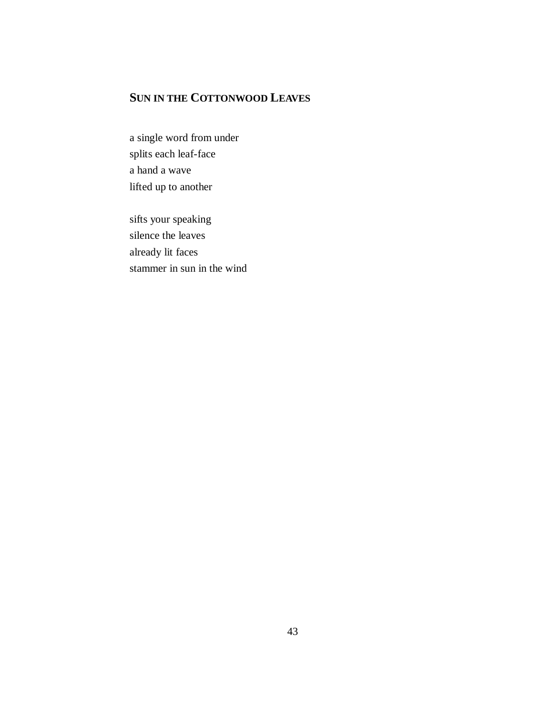# **SUN IN THE COTTONWOOD LEAVES**

a single word from under splits each leaf-face a hand a wave lifted up to another

sifts your speaking silence the leaves already lit faces stammer in sun in the wind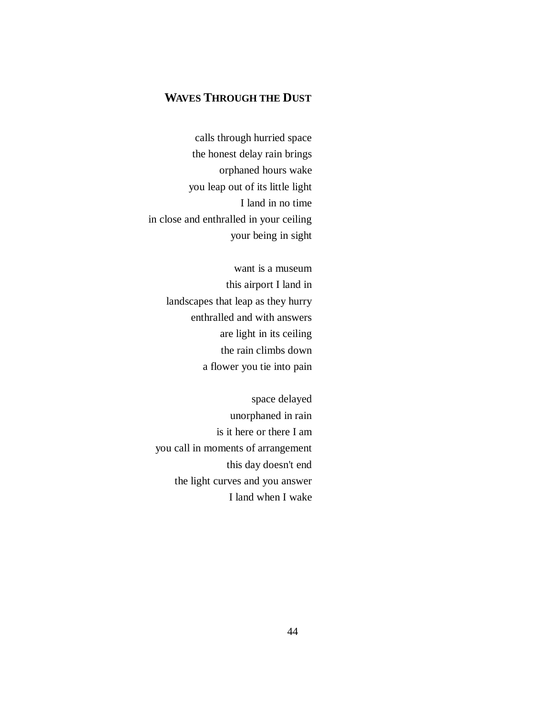## **WAVES THROUGH THE DUST**

calls through hurried space the honest delay rain brings orphaned hours wake you leap out of its little light I land in no time in close and enthralled in your ceiling your being in sight

> want is a museum this airport I land in landscapes that leap as they hurry enthralled and with answers are light in its ceiling the rain climbs down a flower you tie into pain

space delayed unorphaned in rain is it here or there I am you call in moments of arrangement this day doesn't end the light curves and you answer I land when I wake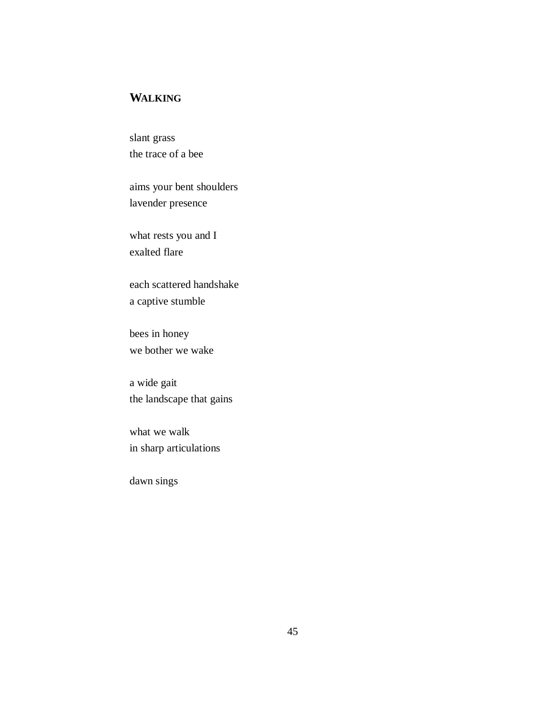## **WALKING**

slant grass the trace of a bee

aims your bent shoulders lavender presence

what rests you and I exalted flare

each scattered handshake a captive stumble

bees in honey we bother we wake

a wide gait the landscape that gains

what we walk in sharp articulations

dawn sings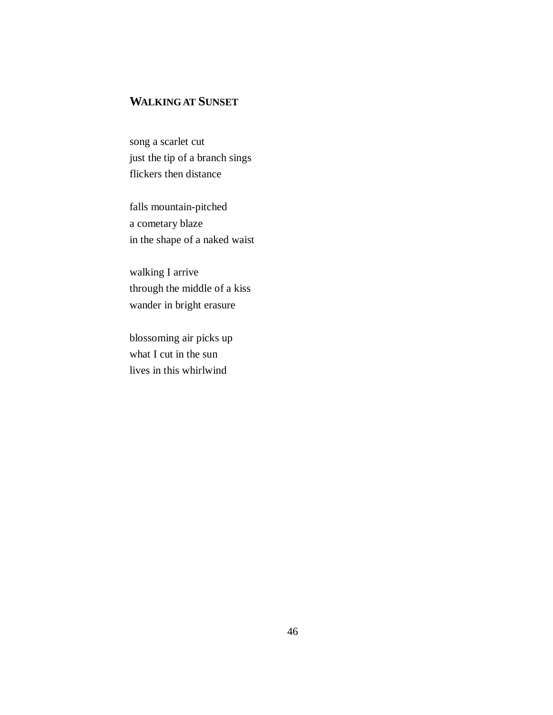# **WALKING AT SUNSET**

song a scarlet cut just the tip of a branch sings flickers then distance

falls mountain-pitched a cometary blaze in the shape of a naked waist

walking I arrive through the middle of a kiss wander in bright erasure

blossoming air picks up what I cut in the sun lives in this whirlwind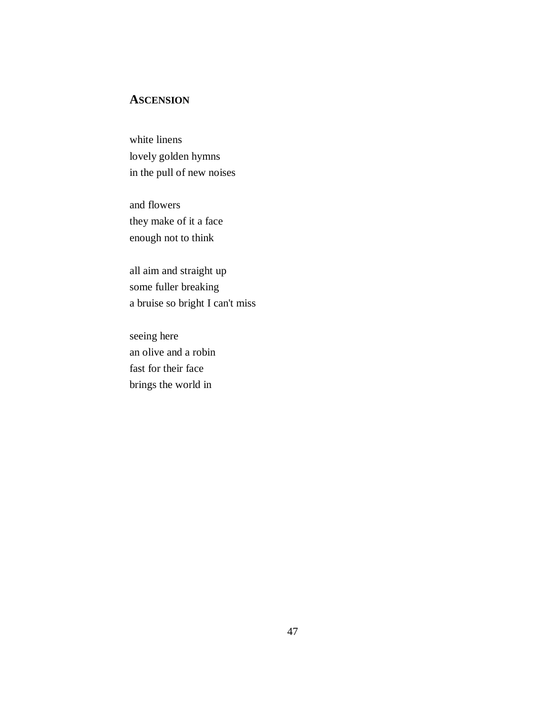## **ASCENSION**

white linens lovely golden hymns in the pull of new noises

and flowers they make of it a face enough not to think

all aim and straight up some fuller breaking a bruise so bright I can't miss

seeing here an olive and a robin fast for their face brings the world in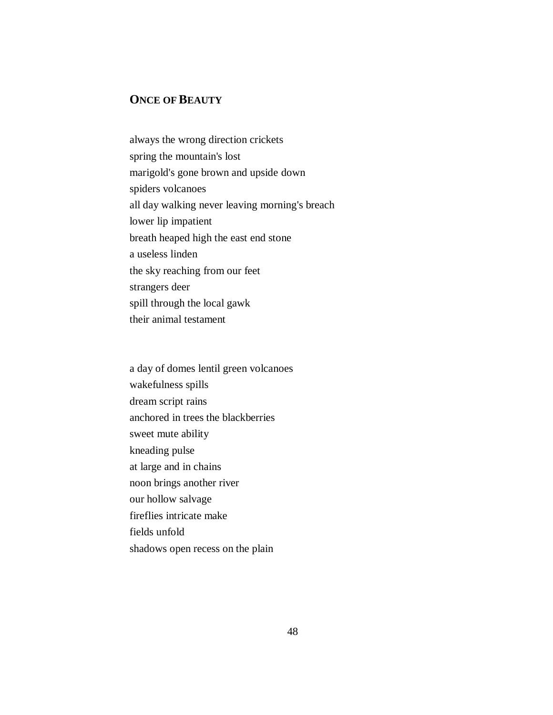## **ONCE OF BEAUTY**

always the wrong direction crickets spring the mountain's lost marigold's gone brown and upside down spiders volcanoes all day walking never leaving morning's breach lower lip impatient breath heaped high the east end stone a useless linden the sky reaching from our feet strangers deer spill through the local gawk their animal testament

a day of domes lentil green volcanoes wakefulness spills dream script rains anchored in trees the blackberries sweet mute ability kneading pulse at large and in chains noon brings another river our hollow salvage fireflies intricate make fields unfold shadows open recess on the plain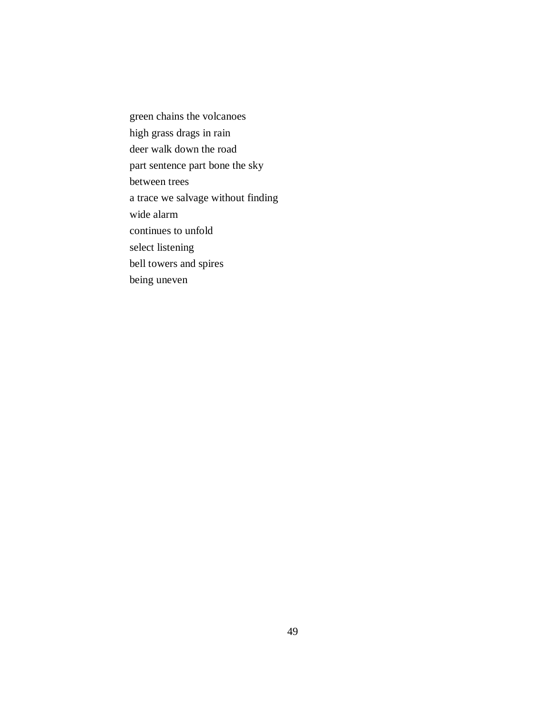green chains the volcanoes high grass drags in rain deer walk down the road part sentence part bone the sky between trees a trace we salvage without finding wide alarm continues to unfold select listening bell towers and spires being uneven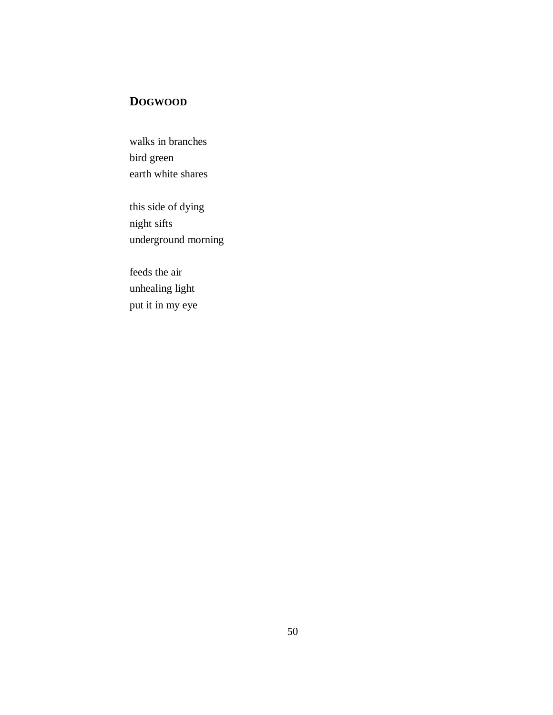# **DOGWOOD**

walks in branches bird green earth white shares

this side of dying night sifts underground morning

feeds the air unhealing light put it in my eye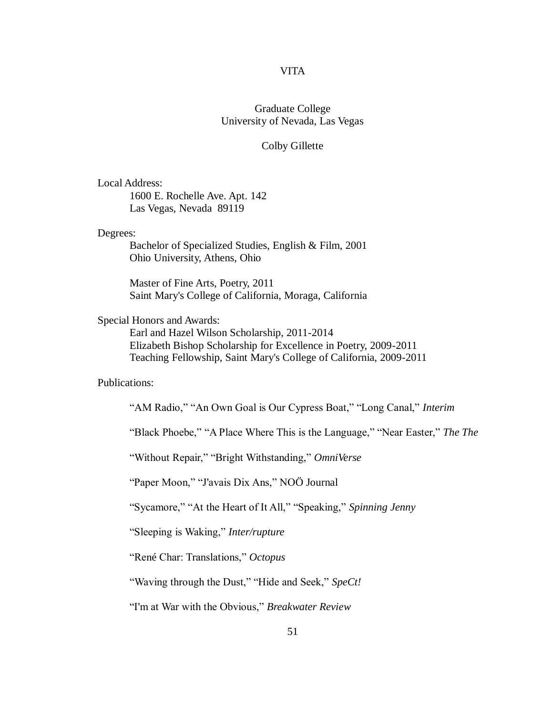#### VITA

#### Graduate College University of Nevada, Las Vegas

#### Colby Gillette

#### Local Address:

1600 E. Rochelle Ave. Apt. 142 Las Vegas, Nevada 89119

#### Degrees:

Bachelor of Specialized Studies, English & Film, 2001 Ohio University, Athens, Ohio

Master of Fine Arts, Poetry, 2011 Saint Mary's College of California, Moraga, California

#### Special Honors and Awards:

Earl and Hazel Wilson Scholarship, 2011-2014 Elizabeth Bishop Scholarship for Excellence in Poetry, 2009-2011 Teaching Fellowship, Saint Mary's College of California, 2009-2011

#### Publications:

"AM Radio," "An Own Goal is Our Cypress Boat," "Long Canal," *Interim*

"Black Phoebe," "A Place Where This is the Language," "Near Easter," *The The*

"Without Repair," "Bright Withstanding," *OmniVerse*

"Paper Moon," "J'avais Dix Ans," NOÖ Journal

"Sycamore," "At the Heart of It All," "Speaking," *Spinning Jenny*

"Sleeping is Waking," *Inter/rupture*

"René Char: Translations," *Octopus*

"Waving through the Dust," "Hide and Seek," *SpeCt!*

"I'm at War with the Obvious," *Breakwater Review*